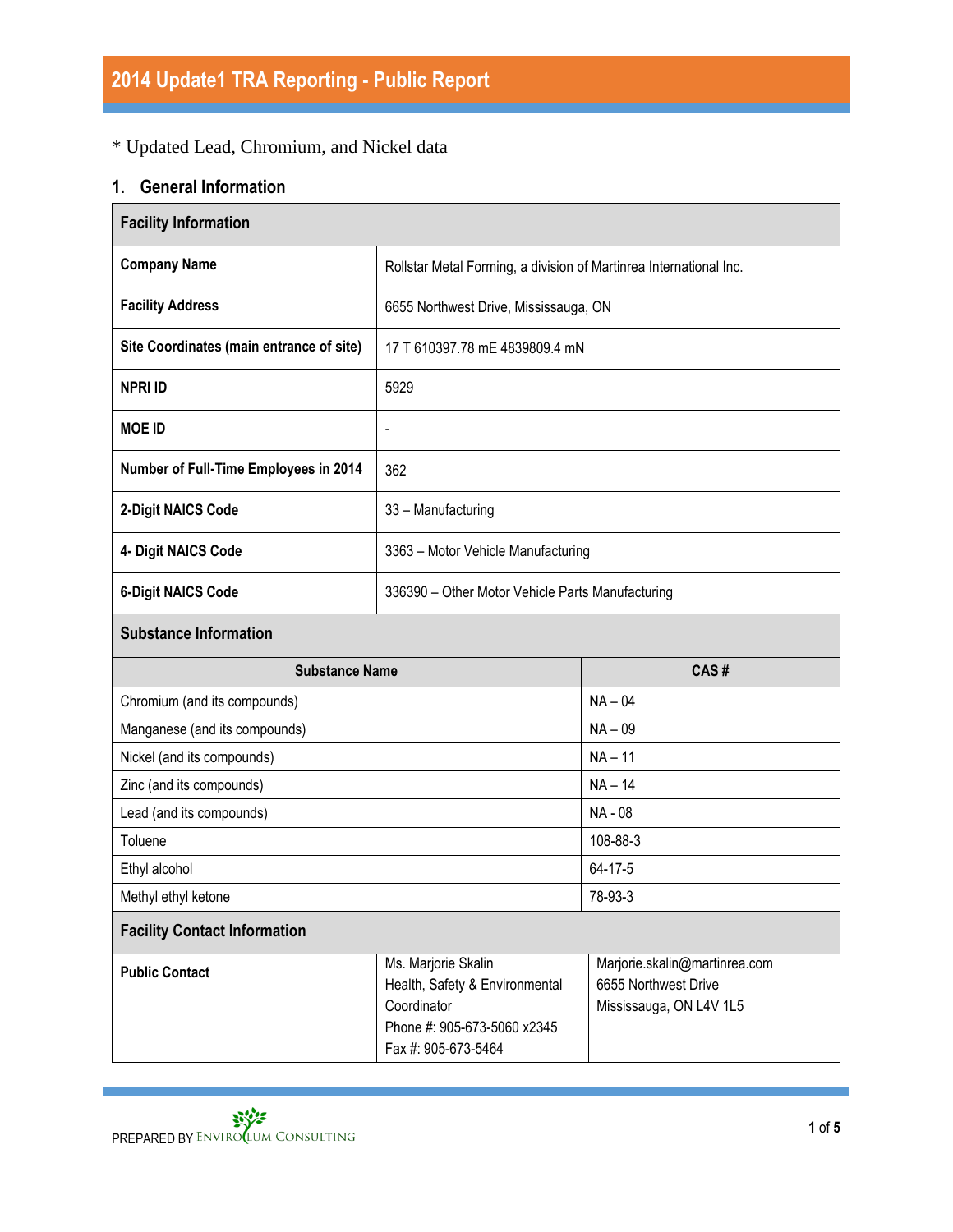## \* Updated Lead, Chromium, and Nickel data

## **1. General Information**

| <b>Facility Information</b>                                                                                                                         |                                                                    |                                                                                  |  |  |
|-----------------------------------------------------------------------------------------------------------------------------------------------------|--------------------------------------------------------------------|----------------------------------------------------------------------------------|--|--|
| <b>Company Name</b>                                                                                                                                 | Rollstar Metal Forming, a division of Martinrea International Inc. |                                                                                  |  |  |
| <b>Facility Address</b>                                                                                                                             | 6655 Northwest Drive, Mississauga, ON                              |                                                                                  |  |  |
| Site Coordinates (main entrance of site)                                                                                                            | 17 T 610397.78 mE 4839809.4 mN                                     |                                                                                  |  |  |
| <b>NPRI ID</b>                                                                                                                                      | 5929                                                               |                                                                                  |  |  |
| <b>MOE ID</b>                                                                                                                                       | $\overline{\phantom{0}}$                                           |                                                                                  |  |  |
| Number of Full-Time Employees in 2014                                                                                                               | 362                                                                |                                                                                  |  |  |
| 2-Digit NAICS Code                                                                                                                                  | 33 - Manufacturing                                                 |                                                                                  |  |  |
| 4- Digit NAICS Code                                                                                                                                 | 3363 - Motor Vehicle Manufacturing                                 |                                                                                  |  |  |
| <b>6-Digit NAICS Code</b>                                                                                                                           | 336390 - Other Motor Vehicle Parts Manufacturing                   |                                                                                  |  |  |
| <b>Substance Information</b>                                                                                                                        |                                                                    |                                                                                  |  |  |
| <b>Substance Name</b>                                                                                                                               |                                                                    | CAS#                                                                             |  |  |
| Chromium (and its compounds)                                                                                                                        |                                                                    | $NA - 04$                                                                        |  |  |
| Manganese (and its compounds)                                                                                                                       |                                                                    | $NA - 09$                                                                        |  |  |
| Nickel (and its compounds)                                                                                                                          |                                                                    | $NA - 11$                                                                        |  |  |
| Zinc (and its compounds)                                                                                                                            |                                                                    | $NA - 14$                                                                        |  |  |
| Lead (and its compounds)                                                                                                                            |                                                                    | NA - 08                                                                          |  |  |
| Toluene                                                                                                                                             |                                                                    | 108-88-3                                                                         |  |  |
| Ethyl alcohol                                                                                                                                       |                                                                    | 64-17-5                                                                          |  |  |
| Methyl ethyl ketone                                                                                                                                 |                                                                    | 78-93-3                                                                          |  |  |
| <b>Facility Contact Information</b>                                                                                                                 |                                                                    |                                                                                  |  |  |
| Ms. Marjorie Skalin<br><b>Public Contact</b><br>Health, Safety & Environmental<br>Coordinator<br>Phone #: 905-673-5060 x2345<br>Fax #: 905-673-5464 |                                                                    | Marjorie.skalin@martinrea.com<br>6655 Northwest Drive<br>Mississauga, ON L4V 1L5 |  |  |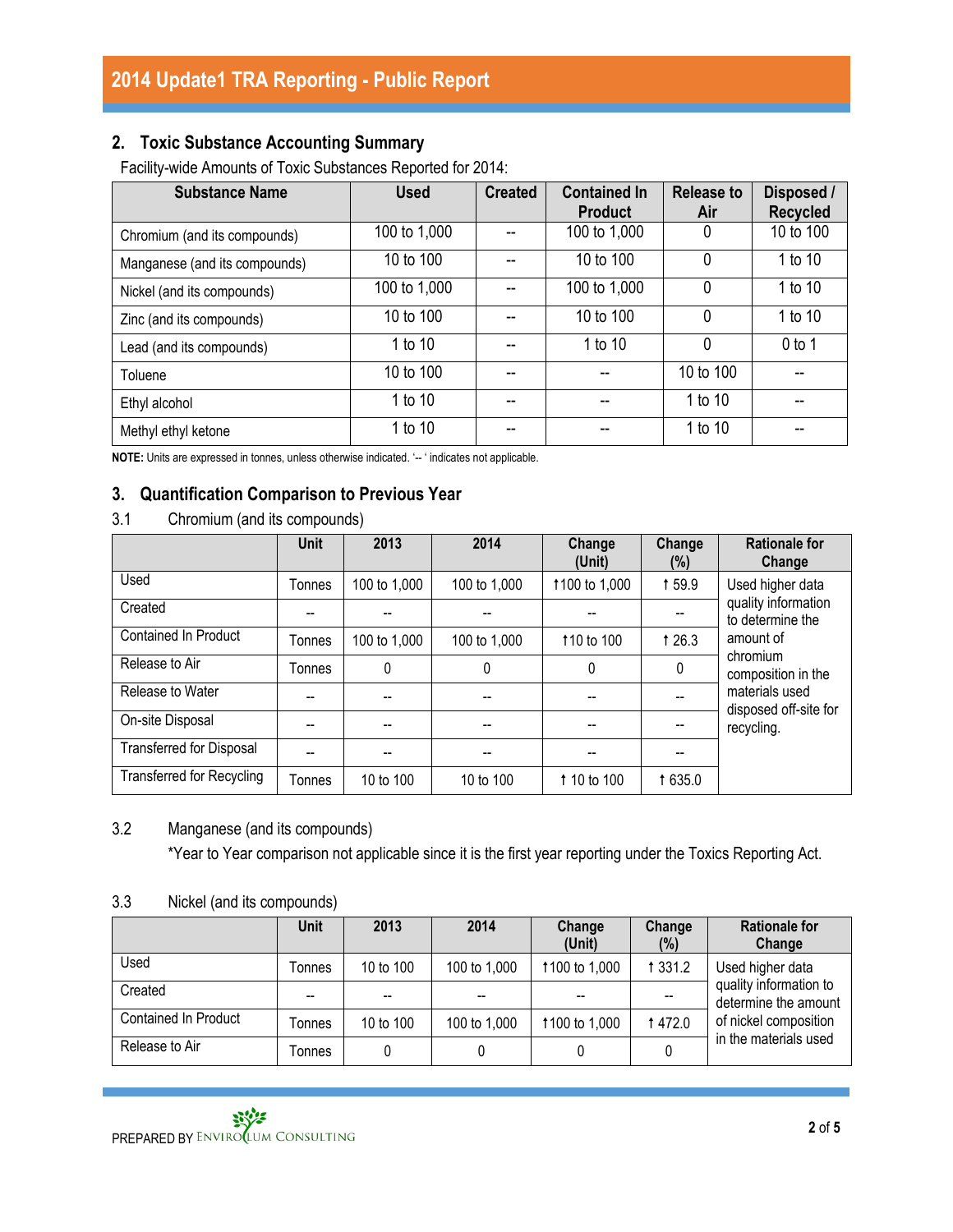### **2. Toxic Substance Accounting Summary**

Facility-wide Amounts of Toxic Substances Reported for 2014:

| <b>Substance Name</b>         | <b>Used</b>  | <b>Created</b> | <b>Contained In</b><br><b>Product</b> | <b>Release to</b><br>Air | Disposed /<br><b>Recycled</b> |
|-------------------------------|--------------|----------------|---------------------------------------|--------------------------|-------------------------------|
| Chromium (and its compounds)  | 100 to 1,000 |                | 100 to 1,000                          | 0                        | 10 to 100                     |
| Manganese (and its compounds) | 10 to 100    |                | 10 to 100                             | 0                        | 1 to 10                       |
| Nickel (and its compounds)    | 100 to 1,000 |                | 100 to 1,000                          | 0                        | 1 to 10                       |
| Zinc (and its compounds)      | 10 to 100    |                | 10 to 100                             | 0                        | 1 to 10                       |
| Lead (and its compounds)      | 1 to 10      | --             | 1 to 10                               | 0                        | $0$ to 1                      |
| Toluene                       | 10 to 100    | --             | --                                    | 10 to 100                |                               |
| Ethyl alcohol                 | 1 to 10      | --             | --                                    | 1 to 10                  |                               |
| Methyl ethyl ketone           | 1 to 10      | --             | --                                    | 1 to 10                  |                               |

**NOTE:** Units are expressed in tonnes, unless otherwise indicated. '-- ' indicates not applicable.

#### **3. Quantification Comparison to Previous Year**

3.1 Chromium (and its compounds)

|                                  | Unit   | 2013         | 2014         | Change<br>(Unit) | Change<br>$(\%)$ | <b>Rationale for</b><br>Change          |
|----------------------------------|--------|--------------|--------------|------------------|------------------|-----------------------------------------|
| Used                             | Tonnes | 100 to 1,000 | 100 to 1,000 | 1100 to 1,000    | 159.9            | Used higher data                        |
| Created                          |        |              |              |                  | --               | quality information<br>to determine the |
| <b>Contained In Product</b>      | Tonnes | 100 to 1,000 | 100 to 1,000 | 110 to 100       | 1 26.3           | amount of                               |
| Release to Air                   | Tonnes | 0            | 0            | 0                | 0                | chromium<br>composition in the          |
| Release to Water                 |        |              | --           |                  |                  | materials used                          |
| On-site Disposal                 |        |              | --           | --               |                  | disposed off-site for<br>recycling.     |
| <b>Transferred for Disposal</b>  |        |              | --           |                  |                  |                                         |
| <b>Transferred for Recycling</b> | Tonnes | 10 to 100    | 10 to 100    | 1 10 to 100      | 1 635.0          |                                         |

#### 3.2 Manganese (and its compounds)

\*Year to Year comparison not applicable since it is the first year reporting under the Toxics Reporting Act.

#### 3.3 Nickel (and its compounds)

|                      | <b>Unit</b> | 2013      | 2014         | Change<br>(Unit) | Change<br>$(\%)$ | <b>Rationale for</b><br>Change                 |
|----------------------|-------------|-----------|--------------|------------------|------------------|------------------------------------------------|
| Used                 | Tonnes      | 10 to 100 | 100 to 1,000 | 1100 to 1,000    | 1 3 3 1 . 2      | Used higher data                               |
| Created              |             |           | --           |                  | --               | quality information to<br>determine the amount |
| Contained In Product | Tonnes      | 10 to 100 | 100 to 1,000 | 1100 to 1,000    | 1472.0           | of nickel composition                          |
| Release to Air       | Tonnes      |           |              |                  |                  | in the materials used                          |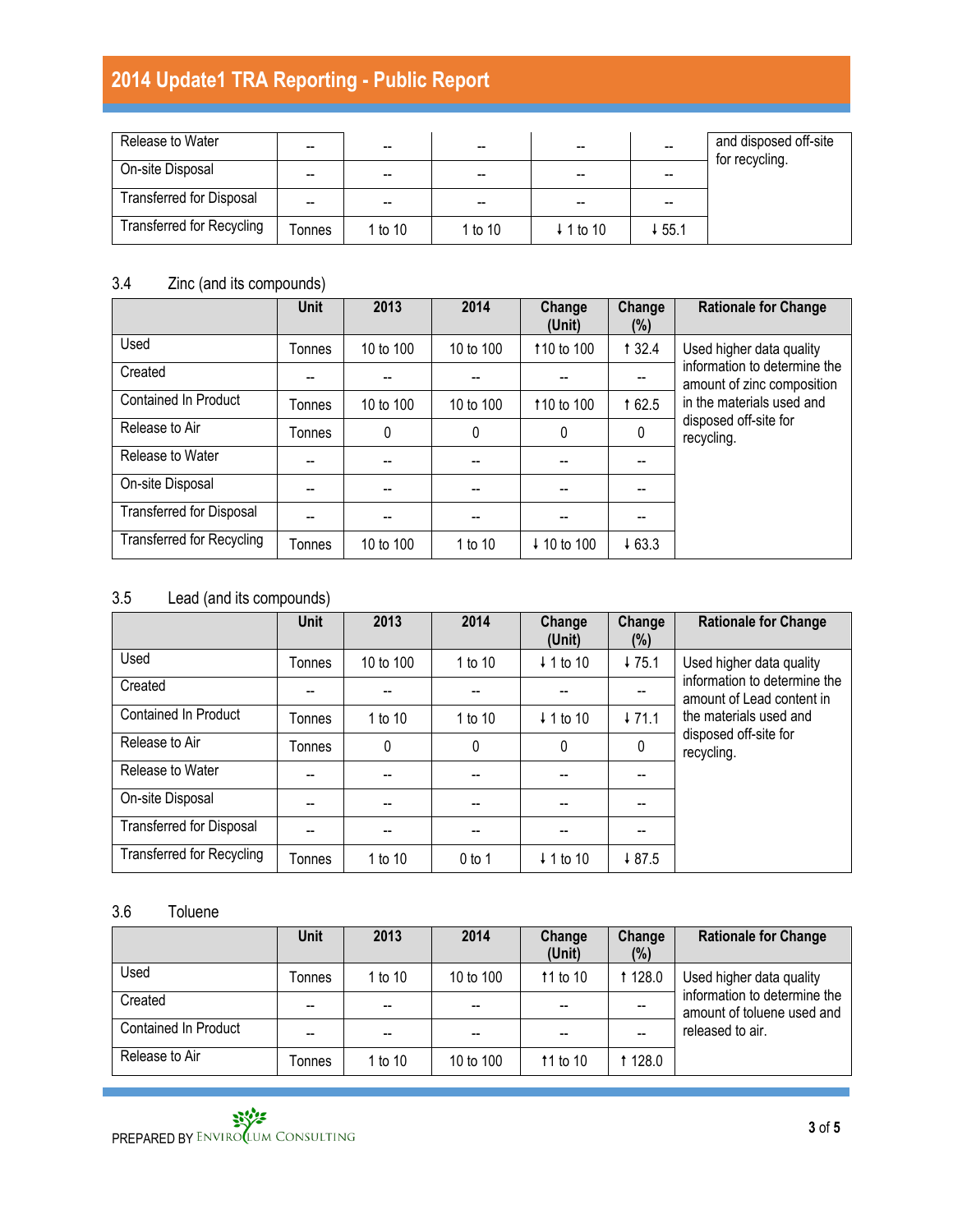| Release to Water                 | --     | --      | --        | --                   | --                                    | and disposed off-site<br>for recycling. |
|----------------------------------|--------|---------|-----------|----------------------|---------------------------------------|-----------------------------------------|
| On-site Disposal                 | --     | --      | --        | --                   | --                                    |                                         |
| <b>Transferred for Disposal</b>  | --     | --      | --        | --                   | $\hspace{0.05cm}$ – $\hspace{0.05cm}$ |                                         |
| <b>Transferred for Recycling</b> | Tonnes | 1 to 10 | 1 to $10$ | $\downarrow$ 1 to 10 | ↓55.1                                 |                                         |

### 3.4 Zinc (and its compounds)

|                                  | <b>Unit</b> | 2013      | 2014      | Change<br>(Unit)       | Change<br>(%) | <b>Rationale for Change</b>                                |
|----------------------------------|-------------|-----------|-----------|------------------------|---------------|------------------------------------------------------------|
| Used                             | Tonnes      | 10 to 100 | 10 to 100 | 110 to 100             | 1 3 2.4       | Used higher data quality                                   |
| Created                          |             |           |           |                        |               | information to determine the<br>amount of zinc composition |
| <b>Contained In Product</b>      | Tonnes      | 10 to 100 | 10 to 100 | 110 to 100             | 162.5         | in the materials used and                                  |
| Release to Air                   | Tonnes      | 0         | 0         | 0                      | 0             | disposed off-site for<br>recycling.                        |
| Release to Water                 |             |           |           |                        |               |                                                            |
| On-site Disposal                 |             |           |           |                        |               |                                                            |
| <b>Transferred for Disposal</b>  |             |           |           |                        |               |                                                            |
| <b>Transferred for Recycling</b> | Tonnes      | 10 to 100 | 1 to 10   | $\downarrow$ 10 to 100 | 463.3         |                                                            |

### 3.5 Lead (and its compounds)

|                                  | <b>Unit</b> | 2013      | 2014     | Change<br>(Unit)     | Change<br>(%) | <b>Rationale for Change</b>                               |
|----------------------------------|-------------|-----------|----------|----------------------|---------------|-----------------------------------------------------------|
| Used                             | Tonnes      | 10 to 100 | 1 to 10  | $\downarrow$ 1 to 10 | 475.1         | Used higher data quality                                  |
| Created                          |             |           |          |                      |               | information to determine the<br>amount of Lead content in |
| <b>Contained In Product</b>      | Tonnes      | 1 to 10   | 1 to 10  | $\downarrow$ 1 to 10 | 171.1         | the materials used and                                    |
| Release to Air                   | Tonnes      | 0         | $\Omega$ | 0                    | 0             | disposed off-site for<br>recycling.                       |
| Release to Water                 |             |           |          |                      |               |                                                           |
| On-site Disposal                 |             |           |          |                      |               |                                                           |
| <b>Transferred for Disposal</b>  |             | --        |          |                      |               |                                                           |
| <b>Transferred for Recycling</b> | Tonnes      | 1 to 10   | $0$ to 1 | $\downarrow$ 1 to 10 | 487.5         |                                                           |

### 3.6 Toluene

|                             | <b>Unit</b> | 2013    | 2014      | Change<br>(Unit) | Change<br>$(\%)$ | <b>Rationale for Change</b>                                |
|-----------------------------|-------------|---------|-----------|------------------|------------------|------------------------------------------------------------|
| Jsed                        | Tonnes      | 1 to 10 | 10 to 100 | 11 to 10         | 1 1 28.0         | Used higher data quality                                   |
| Created                     | --          | --      | --        |                  |                  | information to determine the<br>amount of toluene used and |
| <b>Contained In Product</b> | --          |         |           |                  |                  | released to air.                                           |
| Release to Air              | Tonnes      | 1 to 10 | 10 to 100 | 11 to 10         | 128.0            |                                                            |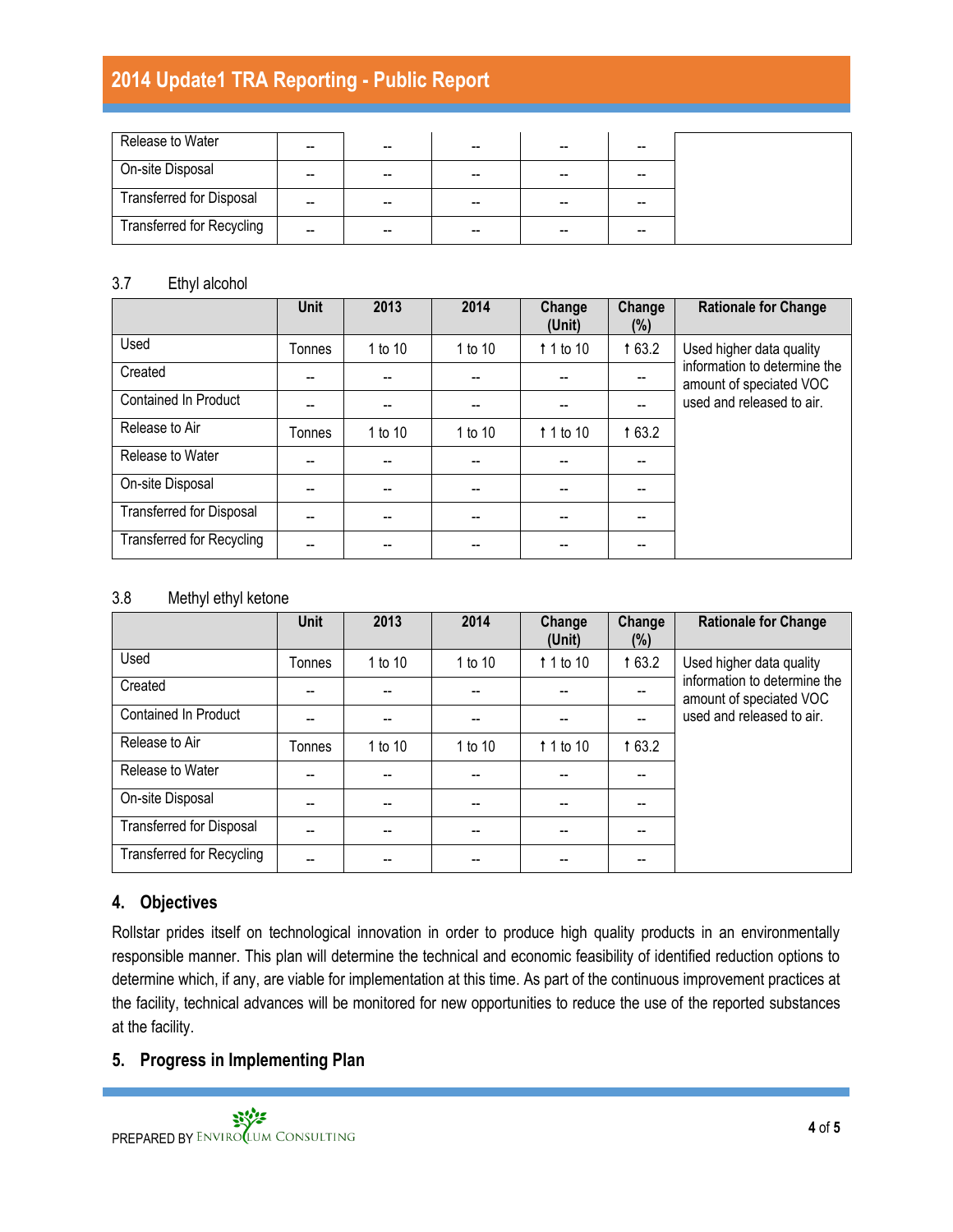| Release to Water                 | -- | --    | $-$                                            | $- -$ |  |
|----------------------------------|----|-------|------------------------------------------------|-------|--|
| On-site Disposal                 | -- | $- -$ | $\hspace{0.1mm}-\hspace{0.1mm}-\hspace{0.1mm}$ | $- -$ |  |
| <b>Transferred for Disposal</b>  | -- | --    | $-$                                            | --    |  |
| <b>Transferred for Recycling</b> | -- | $- -$ | $\sim$                                         | --    |  |

#### 3.7 Ethyl alcohol

|                                  | <b>Unit</b>   | 2013    | 2014                                  | Change<br>(Unit)   | Change<br>(%) | <b>Rationale for Change</b>                                                          |
|----------------------------------|---------------|---------|---------------------------------------|--------------------|---------------|--------------------------------------------------------------------------------------|
| Used                             | <b>Tonnes</b> | 1 to 10 | 1 to 10                               | 1 1 to 10          | 1 63.2        | Used higher data quality                                                             |
| Created                          |               |         | $\hspace{0.05cm}$ – $\hspace{0.05cm}$ |                    | --            | information to determine the<br>amount of speciated VOC<br>used and released to air. |
| <b>Contained In Product</b>      |               |         | $\hspace{0.05cm}$ – $\hspace{0.05cm}$ |                    | $-$           |                                                                                      |
| Release to Air                   | Tonnes        | 1 to 10 | 1 to 10                               | $\uparrow$ 1 to 10 | 1 63.2        |                                                                                      |
| Release to Water                 |               |         |                                       |                    |               |                                                                                      |
| On-site Disposal                 |               |         |                                       |                    |               |                                                                                      |
| <b>Transferred for Disposal</b>  |               |         |                                       |                    |               |                                                                                      |
| <b>Transferred for Recycling</b> |               |         |                                       |                    |               |                                                                                      |

#### 3.8 Methyl ethyl ketone

|                                  | <b>Unit</b> | 2013    | 2014    | Change<br>(Unit)   | Change<br>(%) | <b>Rationale for Change</b>                             |
|----------------------------------|-------------|---------|---------|--------------------|---------------|---------------------------------------------------------|
| Used                             | Tonnes      | 1 to 10 | 1 to 10 | $\uparrow$ 1 to 10 | 163.2         | Used higher data quality                                |
| Created                          |             |         |         |                    |               | information to determine the<br>amount of speciated VOC |
| Contained In Product             |             |         |         |                    |               | used and released to air.                               |
| Release to Air                   | Tonnes      | 1 to 10 | 1 to 10 | $\uparrow$ 1 to 10 | 163.2         |                                                         |
| Release to Water                 |             |         |         |                    |               |                                                         |
| On-site Disposal                 |             | --      |         |                    |               |                                                         |
| <b>Transferred for Disposal</b>  |             |         |         |                    |               |                                                         |
| <b>Transferred for Recycling</b> |             |         |         |                    |               |                                                         |

#### **4. Objectives**

Rollstar prides itself on technological innovation in order to produce high quality products in an environmentally responsible manner. This plan will determine the technical and economic feasibility of identified reduction options to determine which, if any, are viable for implementation at this time. As part of the continuous improvement practices at the facility, technical advances will be monitored for new opportunities to reduce the use of the reported substances at the facility.

#### **5. Progress in Implementing Plan**